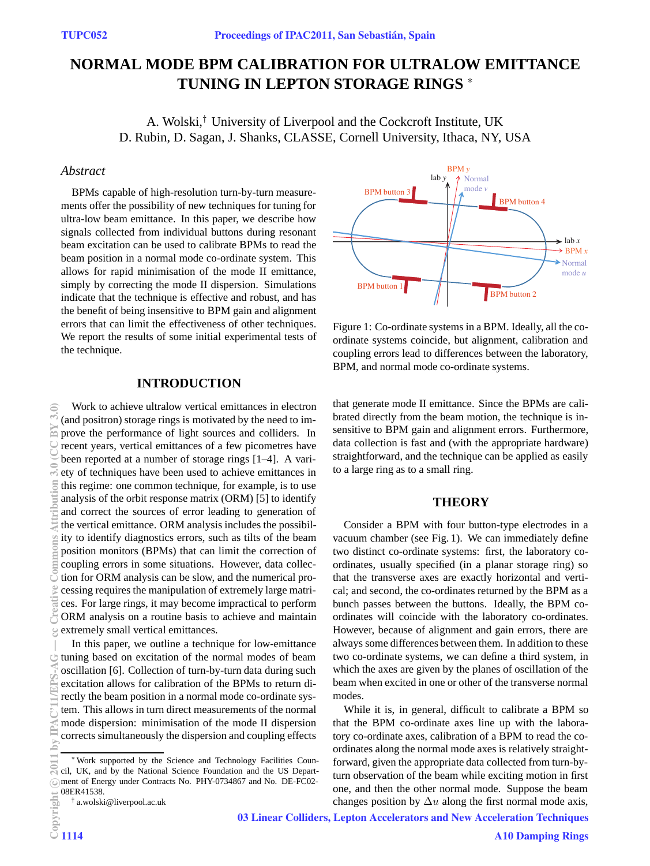# **NORMAL MODE BPM CALIBRATION FOR ULTRALOW EMITTANCE TUNING IN LEPTON STORAGE RINGS** <sup>∗</sup>

A. Wolski,*†* University of Liverpool and the Cockcroft Institute, UK D. Rubin, D. Sagan, J. Shanks, CLASSE, Cornell University, Ithaca, NY, USA

## *Abstract*

BPMs capable of high-resolution turn-by-turn measurements offer the possibility of new techniques for tuning for ultra-low beam emittance. In this paper, we describe how signals collected from individual buttons during resonant beam excitation can be used to calibrate BPMs to read the beam position in a normal mode co-ordinate system. This allows for rapid minimisation of the mode II emittance, simply by correcting the mode II dispersion. Simulations indicate that the technique is effective and robust, and has the benefit of being insensitive to BPM gain and alignment errors that can limit the effectiveness of other techniques. We report the results of some initial experimental tests of the technique.

### **INTRODUCTION**

Work to achieve ultralow vertical emittances in electron (and positron) storage rings is motivated by the need to improve the performance of light sources and colliders. In recent years, vertical emittances of a few picometres have been reported at a number of storage rings [1–4]. A variety of techniques have been used to achieve emittances in this regime: one common technique, for example, is to use analysis of the orbit response matrix (ORM) [5] to identify and correct the sources of error leading to generation of the vertical emittance. ORM analysis includes the possibility to identify diagnostics errors, such as tilts of the beam position monitors (BPMs) that can limit the correction of coupling errors in some situations. However, data collection for ORM analysis can be slow, and the numerical processing requires the manipulation of extremely large matrices. For large rings, it may become impractical to perform ORM analysis on a routine basis to achieve and maintain extremely small vertical emittances. 2011 by IPAC'11/EPS-AG — cc Creative Commons Attribution 3.0 (CC BY 3.0)

In this paper, we outline a technique for low-emittance tuning based on excitation of the normal modes of beam oscillation [6]. Collection of turn-by-turn data during such excitation allows for calibration of the BPMs to return directly the beam position in a normal mode co-ordinate system. This allows in turn direct measurements of the normal mode dispersion: minimisation of the mode II dispersion corrects simultaneously the dispersion and coupling effects



Figure 1: Co-ordinate systems in a BPM. Ideally, all the coordinate systems coincide, but alignment, calibration and coupling errors lead to differences between the laboratory, BPM, and normal mode co-ordinate systems.

that generate mode II emittance. Since the BPMs are calibrated directly from the beam motion, the technique is insensitive to BPM gain and alignment errors. Furthermore, data collection is fast and (with the appropriate hardware) straightforward, and the technique can be applied as easily to a large ring as to a small ring.

#### **THEORY**

Consider a BPM with four button-type electrodes in a vacuum chamber (see Fig. 1). We can immediately define two distinct co-ordinate systems: first, the laboratory coordinates, usually specified (in a planar storage ring) so that the transverse axes are exactly horizontal and vertical; and second, the co-ordinates returned by the BPM as a bunch passes between the buttons. Ideally, the BPM coordinates will coincide with the laboratory co-ordinates. However, because of alignment and gain errors, there are always some differences between them. In addition to these two co-ordinate systems, we can define a third system, in which the axes are given by the planes of oscillation of the beam when excited in one or other of the transverse normal modes.

While it is, in general, difficult to calibrate a BPM so that the BPM co-ordinate axes line up with the laboratory co-ordinate axes, calibration of a BPM to read the coordinates along the normal mode axes is relatively straightforward, given the appropriate data collected from turn-byturn observation of the beam while exciting motion in first one, and then the other normal mode. Suppose the beam changes position by  $\Delta u$  along the first normal mode axis,

RY

<sup>∗</sup>Work supported by the Science and Technology Facilities Council, UK, and by the National Science Foundation and the US Department of Energy under Contracts No. PHY-0734867 and No. DE-FC02- 08ER41538.

<sup>†</sup> a.wolski@liverpool.ac.uk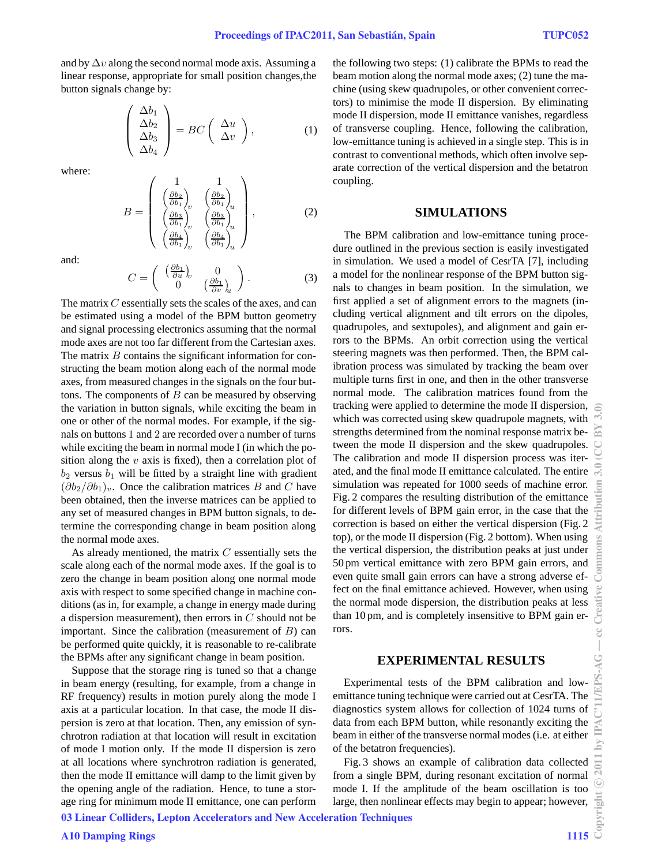and by  $\Delta v$  along the second normal mode axis. Assuming a linear response, appropriate for small position changes,the button signals change by:

$$
\begin{pmatrix}\n\Delta b_1 \\
\Delta b_2 \\
\Delta b_3 \\
\Delta b_4\n\end{pmatrix} = BC \begin{pmatrix}\n\Delta u \\
\Delta v\n\end{pmatrix},
$$
\n(1)

where:

$$
B = \begin{pmatrix} 1 & 1 \\ \left(\frac{\partial b_2}{\partial b_1}\right)_v & \left(\frac{\partial b_2}{\partial b_1}\right)_u \\ \left(\frac{\partial b_3}{\partial b_1}\right)_v & \left(\frac{\partial b_3}{\partial b_1}\right)_u \\ \left(\frac{\partial b_4}{\partial b_1}\right)_v & \left(\frac{\partial b_4}{\partial b_1}\right)_u \end{pmatrix},
$$
(2)

and:

$$
C = \begin{pmatrix} \left(\frac{\partial b_1}{\partial u}\right)_v & 0\\ 0 & \left(\frac{\partial b_1}{\partial v}\right)_u \end{pmatrix}.
$$
 (3)

The matrix C essentially sets the scales of the axes, and can be estimated using a model of the BPM button geometry and signal processing electronics assuming that the normal mode axes are not too far different from the Cartesian axes. The matrix  $B$  contains the significant information for constructing the beam motion along each of the normal mode axes, from measured changes in the signals on the four buttons. The components of  $B$  can be measured by observing the variation in button signals, while exciting the beam in one or other of the normal modes. For example, if the signals on buttons 1 and 2 are recorded over a number of turns while exciting the beam in normal mode I (in which the position along the  $v$  axis is fixed), then a correlation plot of  $b_2$  versus  $b_1$  will be fitted by a straight line with gradient  $(\partial b_2/\partial b_1)_v$ . Once the calibration matrices B and C have been obtained, then the inverse matrices can be applied to any set of measured changes in BPM button signals, to determine the corresponding change in beam position along the normal mode axes.

As already mentioned, the matrix  $C$  essentially sets the scale along each of the normal mode axes. If the goal is to zero the change in beam position along one normal mode axis with respect to some specified change in machine conditions (as in, for example, a change in energy made during a dispersion measurement), then errors in  $C$  should not be important. Since the calibration (measurement of  $B$ ) can be performed quite quickly, it is reasonable to re-calibrate the BPMs after any significant change in beam position.

Suppose that the storage ring is tuned so that a change in beam energy (resulting, for example, from a change in RF frequency) results in motion purely along the mode I axis at a particular location. In that case, the mode II dispersion is zero at that location. Then, any emission of synchrotron radiation at that location will result in excitation of mode I motion only. If the mode II dispersion is zero at all locations where synchrotron radiation is generated, then the mode II emittance will damp to the limit given by the opening angle of the radiation. Hence, to tune a storage ring for minimum mode II emittance, one can perform

the following two steps: (1) calibrate the BPMs to read the beam motion along the normal mode axes; (2) tune the machine (using skew quadrupoles, or other convenient correctors) to minimise the mode II dispersion. By eliminating mode II dispersion, mode II emittance vanishes, regardless of transverse coupling. Hence, following the calibration, low-emittance tuning is achieved in a single step. This is in contrast to conventional methods, which often involve separate correction of the vertical dispersion and the betatron coupling.

#### **SIMULATIONS**

The BPM calibration and low-emittance tuning procedure outlined in the previous section is easily investigated in simulation. We used a model of CesrTA [7], including a model for the nonlinear response of the BPM button signals to changes in beam position. In the simulation, we first applied a set of alignment errors to the magnets (including vertical alignment and tilt errors on the dipoles, quadrupoles, and sextupoles), and alignment and gain errors to the BPMs. An orbit correction using the vertical steering magnets was then performed. Then, the BPM calibration process was simulated by tracking the beam over multiple turns first in one, and then in the other transverse normal mode. The calibration matrices found from the tracking were applied to determine the mode II dispersion, which was corrected using skew quadrupole magnets, with strengths determined from the nominal response matrix between the mode II dispersion and the skew quadrupoles. The calibration and mode II dispersion process was iterated, and the final mode II emittance calculated. The entire simulation was repeated for 1000 seeds of machine error. Fig. 2 compares the resulting distribution of the emittance for different levels of BPM gain error, in the case that the correction is based on either the vertical dispersion (Fig. 2 top), or the mode II dispersion (Fig. 2 bottom). When using the vertical dispersion, the distribution peaks at just under 50 pm vertical emittance with zero BPM gain errors, and even quite small gain errors can have a strong adverse effect on the final emittance achieved. However, when using the normal mode dispersion, the distribution peaks at less than 10 pm, and is completely insensitive to BPM gain errors.

#### **EXPERIMENTAL RESULTS**

Experimental tests of the BPM calibration and lowemittance tuning technique were carried out at CesrTA. The diagnostics system allows for collection of 1024 turns of data from each BPM button, while resonantly exciting the beam in either of the transverse normal modes (i.e. at either of the betatron frequencies).

Fig. 3 shows an example of calibration data collected from a single BPM, during resonant excitation of normal mode I. If the amplitude of the beam oscillation is too large, then nonlinear effects may begin to appear; however,

03 Linear Colliders, Lepton Accelerators and New Acceleration Techniques

듮

Commons

g